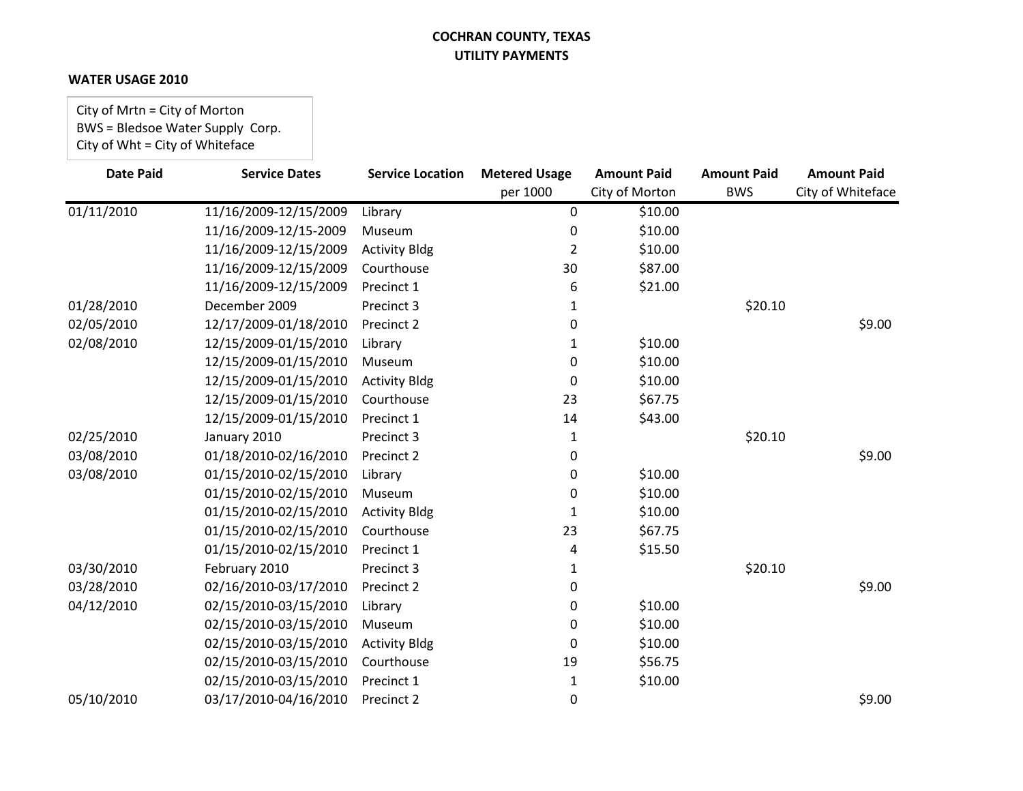## **WATER USAGE 2010**

City of Mrtn = City of Morton BWS = Bledsoe Water Supply Corp. City of Wht = City of Whiteface

| <b>Date Paid</b> | <b>Service Dates</b>  | <b>Service Location</b> | <b>Metered Usage</b> | <b>Amount Paid</b> | <b>Amount Paid</b> | <b>Amount Paid</b> |
|------------------|-----------------------|-------------------------|----------------------|--------------------|--------------------|--------------------|
|                  |                       |                         | per 1000             | City of Morton     | <b>BWS</b>         | City of Whiteface  |
| 01/11/2010       | 11/16/2009-12/15/2009 | Library                 | 0                    | \$10.00            |                    |                    |
|                  | 11/16/2009-12/15-2009 | Museum                  | 0                    | \$10.00            |                    |                    |
|                  | 11/16/2009-12/15/2009 | <b>Activity Bldg</b>    | 2                    | \$10.00            |                    |                    |
|                  | 11/16/2009-12/15/2009 | Courthouse              | 30                   | \$87.00            |                    |                    |
|                  | 11/16/2009-12/15/2009 | Precinct 1              | 6                    | \$21.00            |                    |                    |
| 01/28/2010       | December 2009         | Precinct 3              | 1                    |                    | \$20.10            |                    |
| 02/05/2010       | 12/17/2009-01/18/2010 | Precinct 2              | 0                    |                    |                    | \$9.00             |
| 02/08/2010       | 12/15/2009-01/15/2010 | Library                 | 1                    | \$10.00            |                    |                    |
|                  | 12/15/2009-01/15/2010 | Museum                  | 0                    | \$10.00            |                    |                    |
|                  | 12/15/2009-01/15/2010 | <b>Activity Bldg</b>    | 0                    | \$10.00            |                    |                    |
|                  | 12/15/2009-01/15/2010 | Courthouse              | 23                   | \$67.75            |                    |                    |
|                  | 12/15/2009-01/15/2010 | Precinct 1              | 14                   | \$43.00            |                    |                    |
| 02/25/2010       | January 2010          | Precinct 3              | 1                    |                    | \$20.10            |                    |
| 03/08/2010       | 01/18/2010-02/16/2010 | Precinct 2              | 0                    |                    |                    | \$9.00             |
| 03/08/2010       | 01/15/2010-02/15/2010 | Library                 | 0                    | \$10.00            |                    |                    |
|                  | 01/15/2010-02/15/2010 | Museum                  | 0                    | \$10.00            |                    |                    |
|                  | 01/15/2010-02/15/2010 | <b>Activity Bldg</b>    | 1                    | \$10.00            |                    |                    |
|                  | 01/15/2010-02/15/2010 | Courthouse              | 23                   | \$67.75            |                    |                    |
|                  | 01/15/2010-02/15/2010 | Precinct 1              | 4                    | \$15.50            |                    |                    |
| 03/30/2010       | February 2010         | Precinct 3              | 1                    |                    | \$20.10            |                    |
| 03/28/2010       | 02/16/2010-03/17/2010 | Precinct 2              | 0                    |                    |                    | \$9.00             |
| 04/12/2010       | 02/15/2010-03/15/2010 | Library                 | 0                    | \$10.00            |                    |                    |
|                  | 02/15/2010-03/15/2010 | Museum                  | 0                    | \$10.00            |                    |                    |
|                  | 02/15/2010-03/15/2010 | <b>Activity Bldg</b>    | 0                    | \$10.00            |                    |                    |
|                  | 02/15/2010-03/15/2010 | Courthouse              | 19                   | \$56.75            |                    |                    |
|                  | 02/15/2010-03/15/2010 | Precinct 1              | 1                    | \$10.00            |                    |                    |
| 05/10/2010       | 03/17/2010-04/16/2010 | Precinct 2              | 0                    |                    |                    | \$9.00             |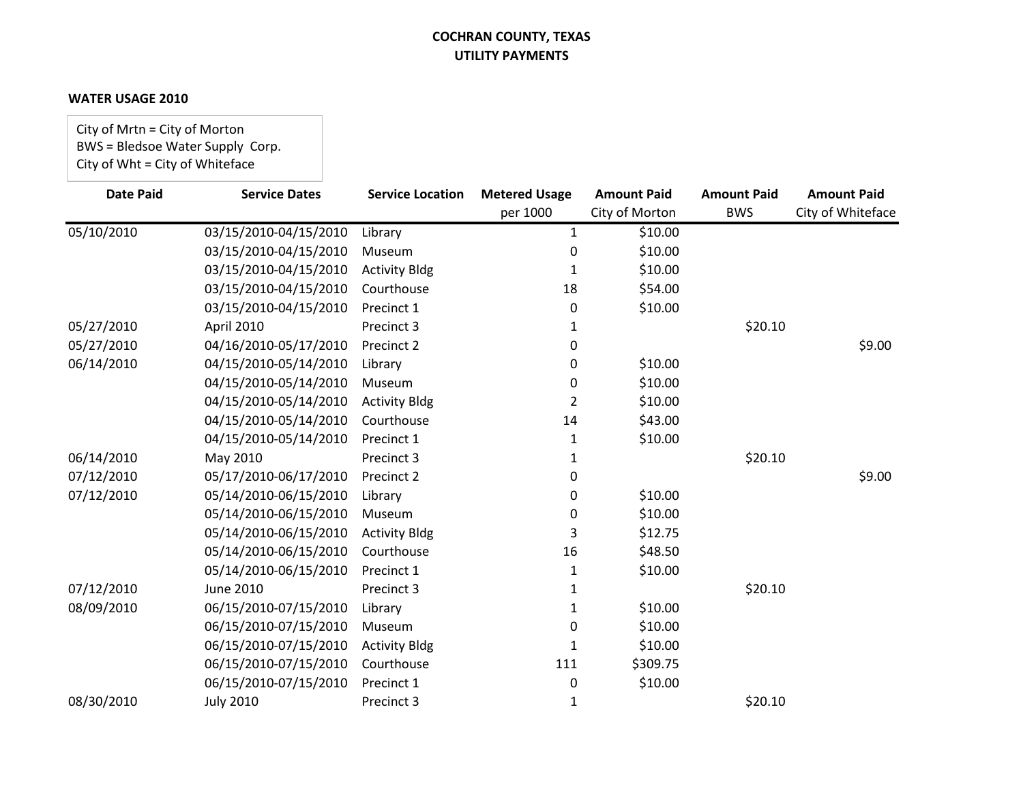## **WATER USAGE 2010**

City of Mrtn = City of Morton BWS = Bledsoe Water Supply Corp. City of Wht = City of Whiteface

| <b>Date Paid</b> | <b>Service Dates</b>  | <b>Service Location</b> | <b>Metered Usage</b> | <b>Amount Paid</b> | <b>Amount Paid</b> | <b>Amount Paid</b> |
|------------------|-----------------------|-------------------------|----------------------|--------------------|--------------------|--------------------|
|                  |                       |                         | per 1000             | City of Morton     | <b>BWS</b>         | City of Whiteface  |
| 05/10/2010       | 03/15/2010-04/15/2010 | Library                 | $\mathbf{1}$         | \$10.00            |                    |                    |
|                  | 03/15/2010-04/15/2010 | Museum                  | 0                    | \$10.00            |                    |                    |
|                  | 03/15/2010-04/15/2010 | <b>Activity Bldg</b>    | 1                    | \$10.00            |                    |                    |
|                  | 03/15/2010-04/15/2010 | Courthouse              | 18                   | \$54.00            |                    |                    |
|                  | 03/15/2010-04/15/2010 | Precinct 1              | $\Omega$             | \$10.00            |                    |                    |
| 05/27/2010       | April 2010            | Precinct 3              | 1                    |                    | \$20.10            |                    |
| 05/27/2010       | 04/16/2010-05/17/2010 | Precinct 2              | 0                    |                    |                    | \$9.00             |
| 06/14/2010       | 04/15/2010-05/14/2010 | Library                 | 0                    | \$10.00            |                    |                    |
|                  | 04/15/2010-05/14/2010 | Museum                  | 0                    | \$10.00            |                    |                    |
|                  | 04/15/2010-05/14/2010 | <b>Activity Bldg</b>    | $\overline{2}$       | \$10.00            |                    |                    |
|                  | 04/15/2010-05/14/2010 | Courthouse              | 14                   | \$43.00            |                    |                    |
|                  | 04/15/2010-05/14/2010 | Precinct 1              | 1                    | \$10.00            |                    |                    |
| 06/14/2010       | May 2010              | Precinct 3              | 1                    |                    | \$20.10            |                    |
| 07/12/2010       | 05/17/2010-06/17/2010 | Precinct 2              | 0                    |                    |                    | \$9.00             |
| 07/12/2010       | 05/14/2010-06/15/2010 | Library                 | 0                    | \$10.00            |                    |                    |
|                  | 05/14/2010-06/15/2010 | Museum                  | 0                    | \$10.00            |                    |                    |
|                  | 05/14/2010-06/15/2010 | <b>Activity Bldg</b>    | 3                    | \$12.75            |                    |                    |
|                  | 05/14/2010-06/15/2010 | Courthouse              | 16                   | \$48.50            |                    |                    |
|                  | 05/14/2010-06/15/2010 | Precinct 1              | 1                    | \$10.00            |                    |                    |
| 07/12/2010       | <b>June 2010</b>      | Precinct 3              | 1                    |                    | \$20.10            |                    |
| 08/09/2010       | 06/15/2010-07/15/2010 | Library                 | 1                    | \$10.00            |                    |                    |
|                  | 06/15/2010-07/15/2010 | Museum                  | 0                    | \$10.00            |                    |                    |
|                  | 06/15/2010-07/15/2010 | <b>Activity Bldg</b>    | 1                    | \$10.00            |                    |                    |
|                  | 06/15/2010-07/15/2010 | Courthouse              | 111                  | \$309.75           |                    |                    |
|                  | 06/15/2010-07/15/2010 | Precinct 1              | 0                    | \$10.00            |                    |                    |
| 08/30/2010       | <b>July 2010</b>      | Precinct 3              | 1                    |                    | \$20.10            |                    |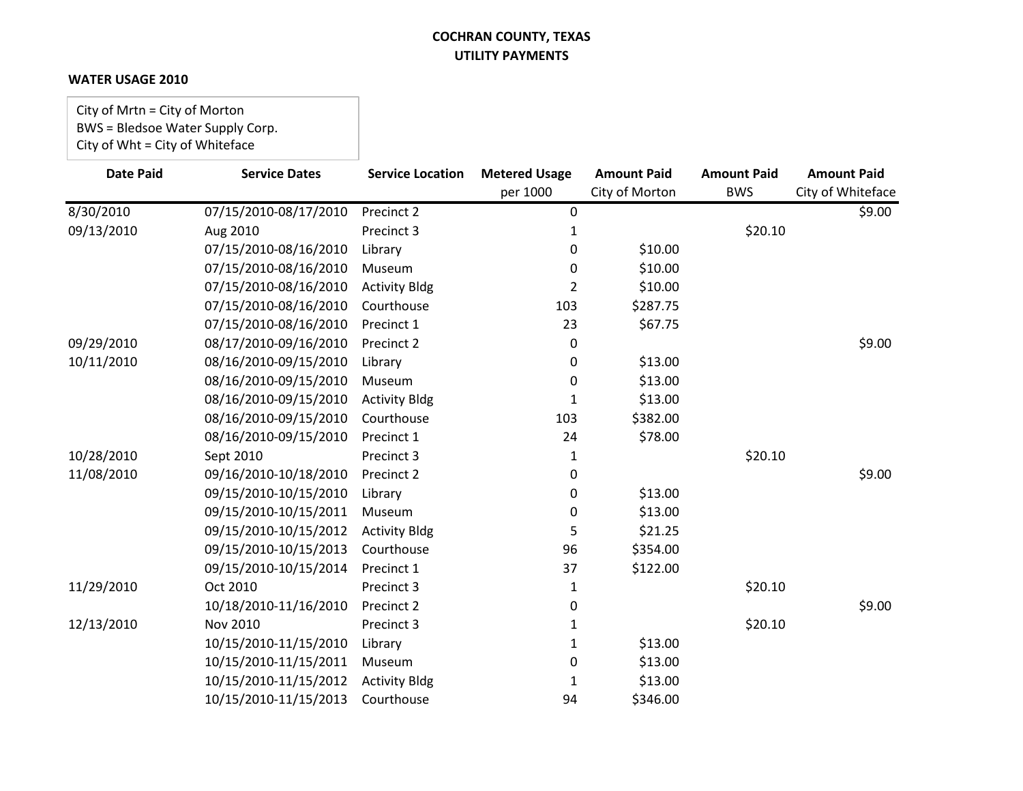## **WATER USAGE 2010**

City of Mrtn = City of Morton BWS = Bledsoe Water Supply Corp. City of Wht = City of Whiteface

| <b>Date Paid</b> | <b>Service Dates</b>  | <b>Service Location</b> | <b>Metered Usage</b> | <b>Amount Paid</b> | <b>Amount Paid</b> | <b>Amount Paid</b> |
|------------------|-----------------------|-------------------------|----------------------|--------------------|--------------------|--------------------|
|                  |                       |                         | per 1000             | City of Morton     | <b>BWS</b>         | City of Whiteface  |
| 8/30/2010        | 07/15/2010-08/17/2010 | Precinct 2              | $\boldsymbol{0}$     |                    |                    | \$9.00             |
| 09/13/2010       | Aug 2010              | Precinct 3              |                      |                    | \$20.10            |                    |
|                  | 07/15/2010-08/16/2010 | Library                 | 0                    | \$10.00            |                    |                    |
|                  | 07/15/2010-08/16/2010 | Museum                  | 0                    | \$10.00            |                    |                    |
|                  | 07/15/2010-08/16/2010 | <b>Activity Bldg</b>    | 2                    | \$10.00            |                    |                    |
|                  | 07/15/2010-08/16/2010 | Courthouse              | 103                  | \$287.75           |                    |                    |
|                  | 07/15/2010-08/16/2010 | Precinct 1              | 23                   | \$67.75            |                    |                    |
| 09/29/2010       | 08/17/2010-09/16/2010 | Precinct 2              | 0                    |                    |                    | \$9.00             |
| 10/11/2010       | 08/16/2010-09/15/2010 | Library                 | 0                    | \$13.00            |                    |                    |
|                  | 08/16/2010-09/15/2010 | Museum                  | 0                    | \$13.00            |                    |                    |
|                  | 08/16/2010-09/15/2010 | <b>Activity Bldg</b>    | 1                    | \$13.00            |                    |                    |
|                  | 08/16/2010-09/15/2010 | Courthouse              | 103                  | \$382.00           |                    |                    |
|                  | 08/16/2010-09/15/2010 | Precinct 1              | 24                   | \$78.00            |                    |                    |
| 10/28/2010       | Sept 2010             | Precinct 3              | 1                    |                    | \$20.10            |                    |
| 11/08/2010       | 09/16/2010-10/18/2010 | Precinct 2              | 0                    |                    |                    | \$9.00             |
|                  | 09/15/2010-10/15/2010 | Library                 | 0                    | \$13.00            |                    |                    |
|                  | 09/15/2010-10/15/2011 | Museum                  | 0                    | \$13.00            |                    |                    |
|                  | 09/15/2010-10/15/2012 | <b>Activity Bldg</b>    | 5                    | \$21.25            |                    |                    |
|                  | 09/15/2010-10/15/2013 | Courthouse              | 96                   | \$354.00           |                    |                    |
|                  | 09/15/2010-10/15/2014 | Precinct 1              | 37                   | \$122.00           |                    |                    |
| 11/29/2010       | Oct 2010              | Precinct 3              | 1                    |                    | \$20.10            |                    |
|                  | 10/18/2010-11/16/2010 | Precinct 2              | 0                    |                    |                    | \$9.00             |
| 12/13/2010       | Nov 2010              | Precinct 3              | 1                    |                    | \$20.10            |                    |
|                  | 10/15/2010-11/15/2010 | Library                 | 1                    | \$13.00            |                    |                    |
|                  | 10/15/2010-11/15/2011 | Museum                  | 0                    | \$13.00            |                    |                    |
|                  | 10/15/2010-11/15/2012 | <b>Activity Bldg</b>    | 1                    | \$13.00            |                    |                    |
|                  | 10/15/2010-11/15/2013 | Courthouse              | 94                   | \$346.00           |                    |                    |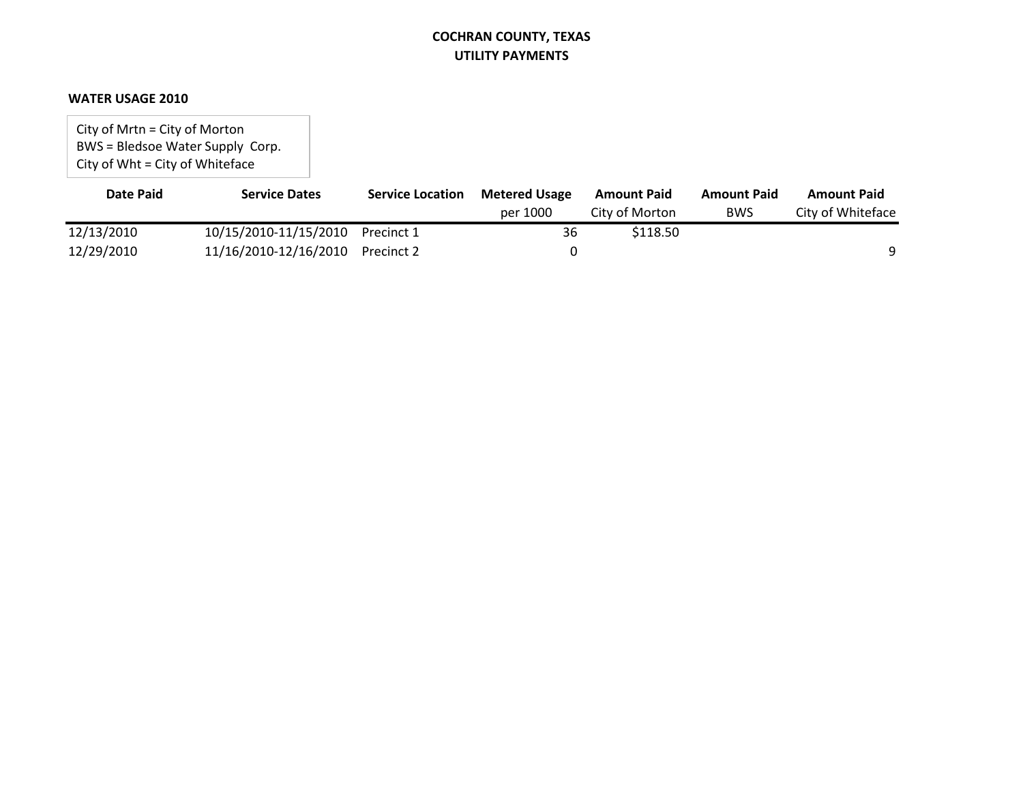### **WATER USAGE 2010**

City of Mrtn = City of Morton BWS = Bledsoe Water Supply Corp. City of Wht = City of Whiteface

| Date Paid  | <b>Service Dates</b>             | <b>Service Location</b> | <b>Metered Usage</b> | <b>Amount Paid</b> | <b>Amount Paid</b> | <b>Amount Paid</b> |
|------------|----------------------------------|-------------------------|----------------------|--------------------|--------------------|--------------------|
|            |                                  |                         | per 1000             | City of Morton     | <b>BWS</b>         | City of Whiteface  |
| 12/13/2010 | 10/15/2010-11/15/2010            | Precinct 1              | 36                   | \$118.50           |                    |                    |
| 12/29/2010 | 11/16/2010-12/16/2010 Precinct 2 |                         |                      |                    |                    | q                  |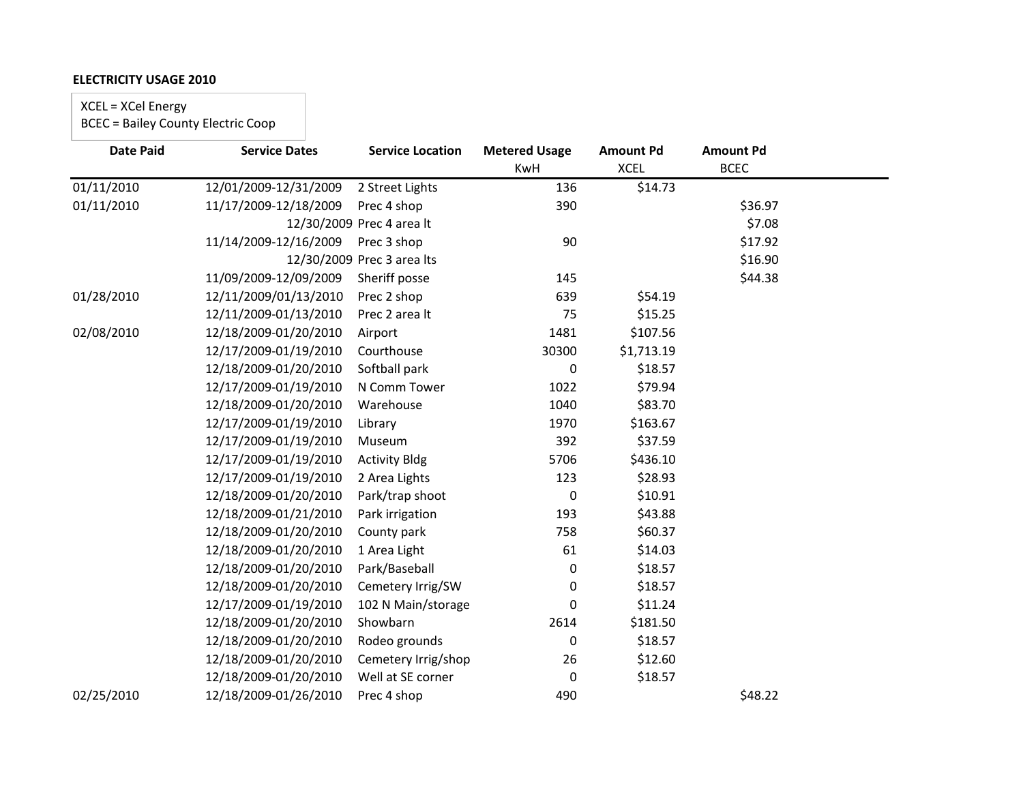## XCEL = XCel Energy

| <b>Date Paid</b> | <b>Service Dates</b>  | <b>Service Location</b>    | <b>Metered Usage</b> | <b>Amount Pd</b> | <b>Amount Pd</b> |  |
|------------------|-----------------------|----------------------------|----------------------|------------------|------------------|--|
|                  |                       |                            | <b>KwH</b>           | <b>XCEL</b>      | <b>BCEC</b>      |  |
| 01/11/2010       | 12/01/2009-12/31/2009 | 2 Street Lights            | 136                  | \$14.73          |                  |  |
| 01/11/2010       | 11/17/2009-12/18/2009 | Prec 4 shop                | 390                  |                  | \$36.97          |  |
|                  |                       | 12/30/2009 Prec 4 area lt  |                      |                  | \$7.08           |  |
|                  | 11/14/2009-12/16/2009 | Prec 3 shop                | 90                   |                  | \$17.92          |  |
|                  |                       | 12/30/2009 Prec 3 area lts |                      |                  | \$16.90          |  |
|                  | 11/09/2009-12/09/2009 | Sheriff posse              | 145                  |                  | \$44.38          |  |
| 01/28/2010       | 12/11/2009/01/13/2010 | Prec 2 shop                | 639                  | \$54.19          |                  |  |
|                  | 12/11/2009-01/13/2010 | Prec 2 area lt             | 75                   | \$15.25          |                  |  |
| 02/08/2010       | 12/18/2009-01/20/2010 | Airport                    | 1481                 | \$107.56         |                  |  |
|                  | 12/17/2009-01/19/2010 | Courthouse                 | 30300                | \$1,713.19       |                  |  |
|                  | 12/18/2009-01/20/2010 | Softball park              | 0                    | \$18.57          |                  |  |
|                  | 12/17/2009-01/19/2010 | N Comm Tower               | 1022                 | \$79.94          |                  |  |
|                  | 12/18/2009-01/20/2010 | Warehouse                  | 1040                 | \$83.70          |                  |  |
|                  | 12/17/2009-01/19/2010 | Library                    | 1970                 | \$163.67         |                  |  |
|                  | 12/17/2009-01/19/2010 | Museum                     | 392                  | \$37.59          |                  |  |
|                  | 12/17/2009-01/19/2010 | <b>Activity Bldg</b>       | 5706                 | \$436.10         |                  |  |
|                  | 12/17/2009-01/19/2010 | 2 Area Lights              | 123                  | \$28.93          |                  |  |
|                  | 12/18/2009-01/20/2010 | Park/trap shoot            | 0                    | \$10.91          |                  |  |
|                  | 12/18/2009-01/21/2010 | Park irrigation            | 193                  | \$43.88          |                  |  |
|                  | 12/18/2009-01/20/2010 | County park                | 758                  | \$60.37          |                  |  |
|                  | 12/18/2009-01/20/2010 | 1 Area Light               | 61                   | \$14.03          |                  |  |
|                  | 12/18/2009-01/20/2010 | Park/Baseball              | 0                    | \$18.57          |                  |  |
|                  | 12/18/2009-01/20/2010 | Cemetery Irrig/SW          | 0                    | \$18.57          |                  |  |
|                  | 12/17/2009-01/19/2010 | 102 N Main/storage         | 0                    | \$11.24          |                  |  |
|                  | 12/18/2009-01/20/2010 | Showbarn                   | 2614                 | \$181.50         |                  |  |
|                  | 12/18/2009-01/20/2010 | Rodeo grounds              | 0                    | \$18.57          |                  |  |
|                  | 12/18/2009-01/20/2010 | Cemetery Irrig/shop        | 26                   | \$12.60          |                  |  |
|                  | 12/18/2009-01/20/2010 | Well at SE corner          | 0                    | \$18.57          |                  |  |
| 02/25/2010       | 12/18/2009-01/26/2010 | Prec 4 shop                | 490                  |                  | \$48.22          |  |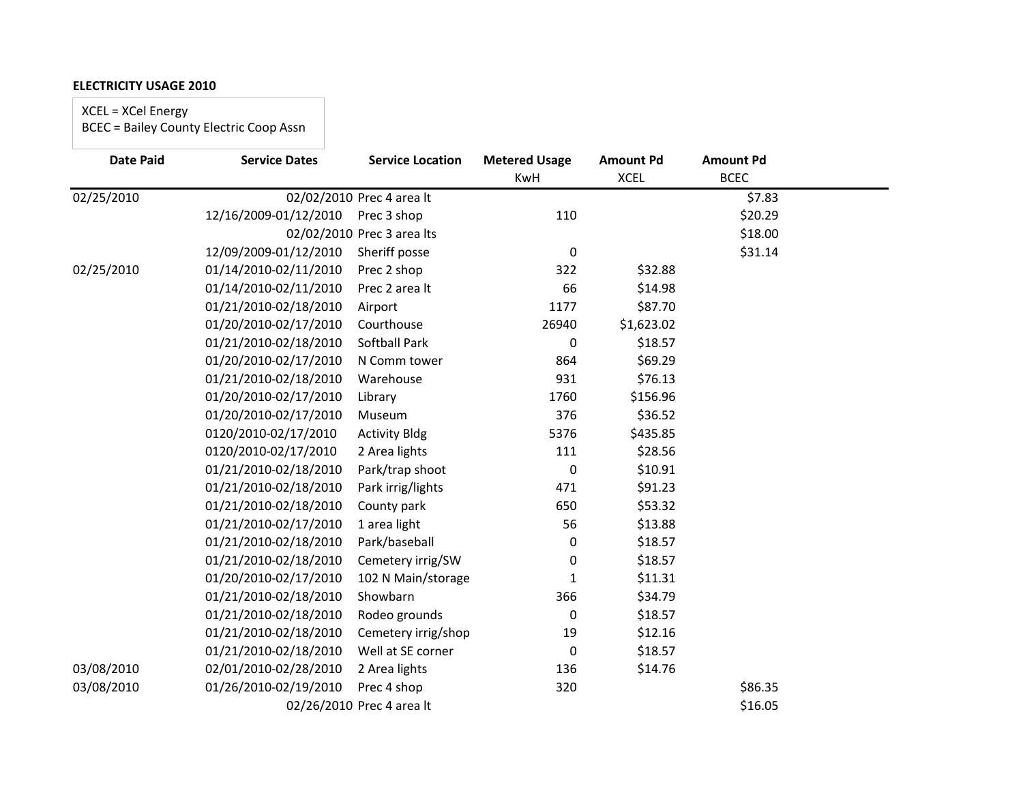# XCEL = XCel Energy

| <b>Date Paid</b> | <b>Service Dates</b>      | <b>Service Location</b>    | <b>Metered Usage</b><br><b>KwH</b> | <b>Amount Pd</b><br><b>XCEL</b> | <b>Amount Pd</b><br><b>BCEC</b> |  |
|------------------|---------------------------|----------------------------|------------------------------------|---------------------------------|---------------------------------|--|
| 02/25/2010       | 02/02/2010 Prec 4 area lt |                            |                                    | \$7.83                          |                                 |  |
|                  | 12/16/2009-01/12/2010     | Prec 3 shop                | 110                                |                                 | \$20.29                         |  |
|                  |                           | 02/02/2010 Prec 3 area lts |                                    |                                 | \$18.00                         |  |
|                  | 12/09/2009-01/12/2010     | Sheriff posse              | 0                                  |                                 | \$31.14                         |  |
| 02/25/2010       | 01/14/2010-02/11/2010     | Prec 2 shop                | 322                                | \$32.88                         |                                 |  |
|                  | 01/14/2010-02/11/2010     | Prec 2 area lt             | 66                                 | \$14.98                         |                                 |  |
|                  | 01/21/2010-02/18/2010     | Airport                    | 1177                               | \$87.70                         |                                 |  |
|                  | 01/20/2010-02/17/2010     | Courthouse                 | 26940                              | \$1,623.02                      |                                 |  |
|                  | 01/21/2010-02/18/2010     | Softball Park              | 0                                  | \$18.57                         |                                 |  |
|                  | 01/20/2010-02/17/2010     | N Comm tower               | 864                                | \$69.29                         |                                 |  |
|                  | 01/21/2010-02/18/2010     | Warehouse                  | 931                                | \$76.13                         |                                 |  |
|                  | 01/20/2010-02/17/2010     | Library                    | 1760                               | \$156.96                        |                                 |  |
|                  | 01/20/2010-02/17/2010     | Museum                     | 376                                | \$36.52                         |                                 |  |
|                  | 0120/2010-02/17/2010      | <b>Activity Bldg</b>       | 5376                               | \$435.85                        |                                 |  |
|                  | 0120/2010-02/17/2010      | 2 Area lights              | 111                                | \$28.56                         |                                 |  |
|                  | 01/21/2010-02/18/2010     | Park/trap shoot            | 0                                  | \$10.91                         |                                 |  |
|                  | 01/21/2010-02/18/2010     | Park irrig/lights          | 471                                | \$91.23                         |                                 |  |
|                  | 01/21/2010-02/18/2010     | County park                | 650                                | \$53.32                         |                                 |  |
|                  | 01/21/2010-02/17/2010     | 1 area light               | 56                                 | \$13.88                         |                                 |  |
|                  | 01/21/2010-02/18/2010     | Park/baseball              | 0                                  | \$18.57                         |                                 |  |
|                  | 01/21/2010-02/18/2010     | Cemetery irrig/SW          | 0                                  | \$18.57                         |                                 |  |
|                  | 01/20/2010-02/17/2010     | 102 N Main/storage         | $\mathbf{1}$                       | \$11.31                         |                                 |  |
|                  | 01/21/2010-02/18/2010     | Showbarn                   | 366                                | \$34.79                         |                                 |  |
|                  | 01/21/2010-02/18/2010     | Rodeo grounds              | 0                                  | \$18.57                         |                                 |  |
|                  | 01/21/2010-02/18/2010     | Cemetery irrig/shop        | 19                                 | \$12.16                         |                                 |  |
|                  | 01/21/2010-02/18/2010     | Well at SE corner          | $\mathbf 0$                        | \$18.57                         |                                 |  |
| 03/08/2010       | 02/01/2010-02/28/2010     | 2 Area lights              | 136                                | \$14.76                         |                                 |  |
| 03/08/2010       | 01/26/2010-02/19/2010     | Prec 4 shop                | 320                                |                                 | \$86.35                         |  |
|                  |                           | 02/26/2010 Prec 4 area lt  |                                    |                                 | \$16.05                         |  |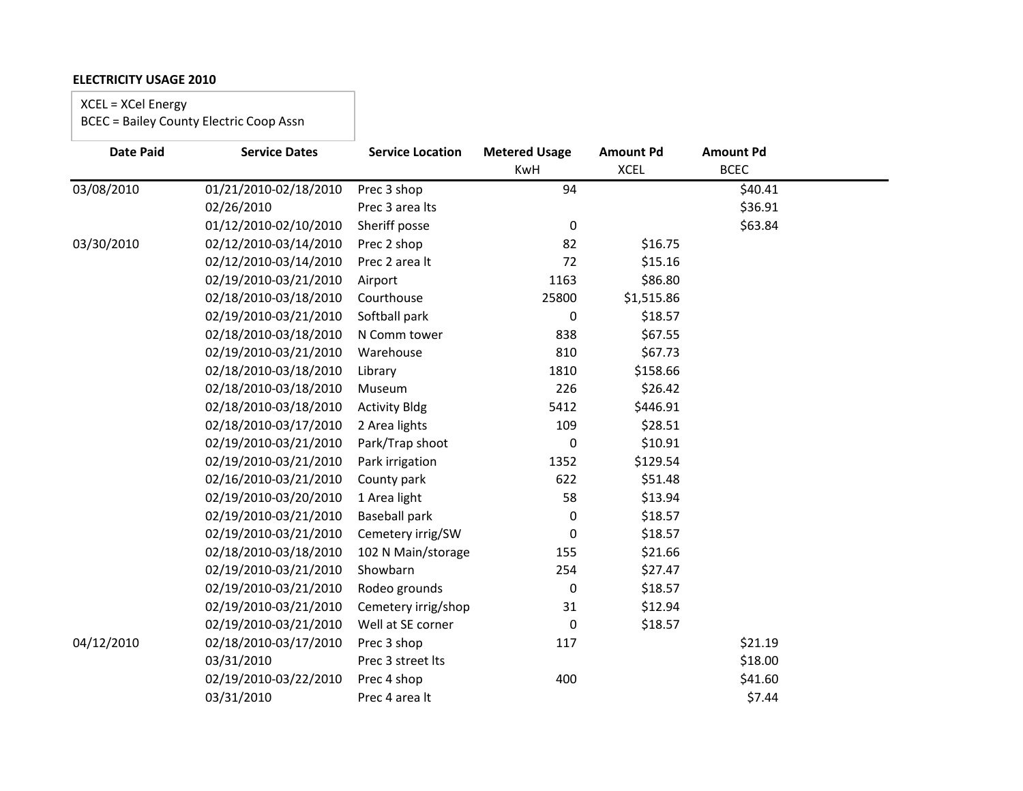#### XCEL = XCel Energy

| <b>Date Paid</b> | <b>Service Dates</b>  | <b>Service Location</b> | <b>Metered Usage</b><br><b>KwH</b> | <b>Amount Pd</b><br><b>XCEL</b> | <b>Amount Pd</b><br><b>BCEC</b> |  |
|------------------|-----------------------|-------------------------|------------------------------------|---------------------------------|---------------------------------|--|
| 03/08/2010       | 01/21/2010-02/18/2010 | Prec 3 shop             | 94                                 |                                 | \$40.41                         |  |
|                  | 02/26/2010            | Prec 3 area lts         |                                    |                                 | \$36.91                         |  |
|                  | 01/12/2010-02/10/2010 | Sheriff posse           | 0                                  |                                 | \$63.84                         |  |
| 03/30/2010       | 02/12/2010-03/14/2010 | Prec 2 shop             | 82                                 | \$16.75                         |                                 |  |
|                  | 02/12/2010-03/14/2010 | Prec 2 area It          | 72                                 | \$15.16                         |                                 |  |
|                  | 02/19/2010-03/21/2010 | Airport                 | 1163                               | \$86.80                         |                                 |  |
|                  | 02/18/2010-03/18/2010 | Courthouse              | 25800                              | \$1,515.86                      |                                 |  |
|                  | 02/19/2010-03/21/2010 | Softball park           | 0                                  | \$18.57                         |                                 |  |
|                  | 02/18/2010-03/18/2010 | N Comm tower            | 838                                | \$67.55                         |                                 |  |
|                  | 02/19/2010-03/21/2010 | Warehouse               | 810                                | \$67.73                         |                                 |  |
|                  | 02/18/2010-03/18/2010 | Library                 | 1810                               | \$158.66                        |                                 |  |
|                  | 02/18/2010-03/18/2010 | Museum                  | 226                                | \$26.42                         |                                 |  |
|                  | 02/18/2010-03/18/2010 | <b>Activity Bldg</b>    | 5412                               | \$446.91                        |                                 |  |
|                  | 02/18/2010-03/17/2010 | 2 Area lights           | 109                                | \$28.51                         |                                 |  |
|                  | 02/19/2010-03/21/2010 | Park/Trap shoot         | 0                                  | \$10.91                         |                                 |  |
|                  | 02/19/2010-03/21/2010 | Park irrigation         | 1352                               | \$129.54                        |                                 |  |
|                  | 02/16/2010-03/21/2010 | County park             | 622                                | \$51.48                         |                                 |  |
|                  | 02/19/2010-03/20/2010 | 1 Area light            | 58                                 | \$13.94                         |                                 |  |
|                  | 02/19/2010-03/21/2010 | <b>Baseball park</b>    | 0                                  | \$18.57                         |                                 |  |
|                  | 02/19/2010-03/21/2010 | Cemetery irrig/SW       | 0                                  | \$18.57                         |                                 |  |
|                  | 02/18/2010-03/18/2010 | 102 N Main/storage      | 155                                | \$21.66                         |                                 |  |
|                  | 02/19/2010-03/21/2010 | Showbarn                | 254                                | \$27.47                         |                                 |  |
|                  | 02/19/2010-03/21/2010 | Rodeo grounds           | 0                                  | \$18.57                         |                                 |  |
|                  | 02/19/2010-03/21/2010 | Cemetery irrig/shop     | 31                                 | \$12.94                         |                                 |  |
|                  | 02/19/2010-03/21/2010 | Well at SE corner       | 0                                  | \$18.57                         |                                 |  |
| 04/12/2010       | 02/18/2010-03/17/2010 | Prec 3 shop             | 117                                |                                 | \$21.19                         |  |
|                  | 03/31/2010            | Prec 3 street lts       |                                    |                                 | \$18.00                         |  |
|                  | 02/19/2010-03/22/2010 | Prec 4 shop             | 400                                |                                 | \$41.60                         |  |
|                  | 03/31/2010            | Prec 4 area lt          |                                    |                                 | \$7.44                          |  |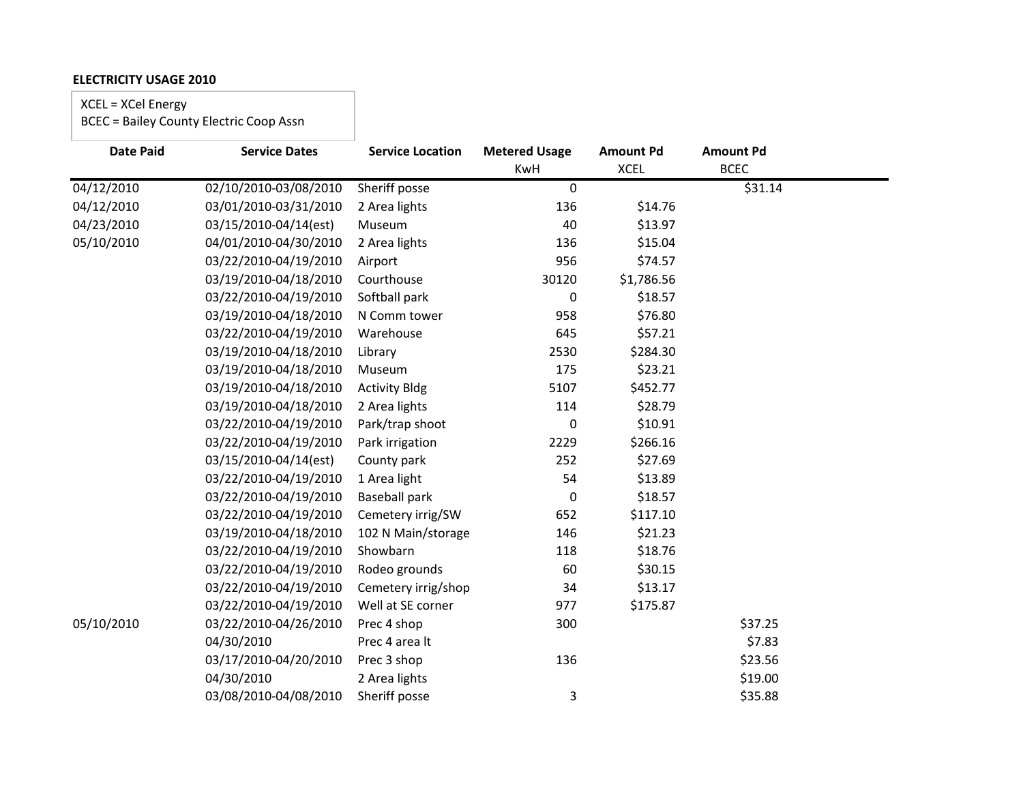#### XCEL = XCel Energy

| <b>Date Paid</b> | <b>Service Dates</b>  | <b>Service Location</b> | <b>Metered Usage</b><br>KwH | <b>Amount Pd</b><br><b>XCEL</b> | <b>Amount Pd</b><br><b>BCEC</b> |  |
|------------------|-----------------------|-------------------------|-----------------------------|---------------------------------|---------------------------------|--|
| 04/12/2010       | 02/10/2010-03/08/2010 | Sheriff posse           | $\mathbf 0$                 |                                 | \$31.14                         |  |
| 04/12/2010       | 03/01/2010-03/31/2010 | 2 Area lights           | 136                         | \$14.76                         |                                 |  |
| 04/23/2010       | 03/15/2010-04/14(est) | Museum                  | 40                          | \$13.97                         |                                 |  |
| 05/10/2010       | 04/01/2010-04/30/2010 | 2 Area lights           | 136                         | \$15.04                         |                                 |  |
|                  | 03/22/2010-04/19/2010 | Airport                 | 956                         | \$74.57                         |                                 |  |
|                  | 03/19/2010-04/18/2010 | Courthouse              | 30120                       | \$1,786.56                      |                                 |  |
|                  | 03/22/2010-04/19/2010 | Softball park           | 0                           | \$18.57                         |                                 |  |
|                  | 03/19/2010-04/18/2010 | N Comm tower            | 958                         | \$76.80                         |                                 |  |
|                  | 03/22/2010-04/19/2010 | Warehouse               | 645                         | \$57.21                         |                                 |  |
|                  | 03/19/2010-04/18/2010 | Library                 | 2530                        | \$284.30                        |                                 |  |
|                  | 03/19/2010-04/18/2010 | Museum                  | 175                         | \$23.21                         |                                 |  |
|                  | 03/19/2010-04/18/2010 | <b>Activity Bldg</b>    | 5107                        | \$452.77                        |                                 |  |
|                  | 03/19/2010-04/18/2010 | 2 Area lights           | 114                         | \$28.79                         |                                 |  |
|                  | 03/22/2010-04/19/2010 | Park/trap shoot         | 0                           | \$10.91                         |                                 |  |
|                  | 03/22/2010-04/19/2010 | Park irrigation         | 2229                        | \$266.16                        |                                 |  |
|                  | 03/15/2010-04/14(est) | County park             | 252                         | \$27.69                         |                                 |  |
|                  | 03/22/2010-04/19/2010 | 1 Area light            | 54                          | \$13.89                         |                                 |  |
|                  | 03/22/2010-04/19/2010 | Baseball park           | 0                           | \$18.57                         |                                 |  |
|                  | 03/22/2010-04/19/2010 | Cemetery irrig/SW       | 652                         | \$117.10                        |                                 |  |
|                  | 03/19/2010-04/18/2010 | 102 N Main/storage      | 146                         | \$21.23                         |                                 |  |
|                  | 03/22/2010-04/19/2010 | Showbarn                | 118                         | \$18.76                         |                                 |  |
|                  | 03/22/2010-04/19/2010 | Rodeo grounds           | 60                          | \$30.15                         |                                 |  |
|                  | 03/22/2010-04/19/2010 | Cemetery irrig/shop     | 34                          | \$13.17                         |                                 |  |
|                  | 03/22/2010-04/19/2010 | Well at SE corner       | 977                         | \$175.87                        |                                 |  |
| 05/10/2010       | 03/22/2010-04/26/2010 | Prec 4 shop             | 300                         |                                 | \$37.25                         |  |
|                  | 04/30/2010            | Prec 4 area lt          |                             |                                 | \$7.83                          |  |
|                  | 03/17/2010-04/20/2010 | Prec 3 shop             | 136                         |                                 | \$23.56                         |  |
|                  | 04/30/2010            | 2 Area lights           |                             |                                 | \$19.00                         |  |
|                  | 03/08/2010-04/08/2010 | Sheriff posse           | 3                           |                                 | \$35.88                         |  |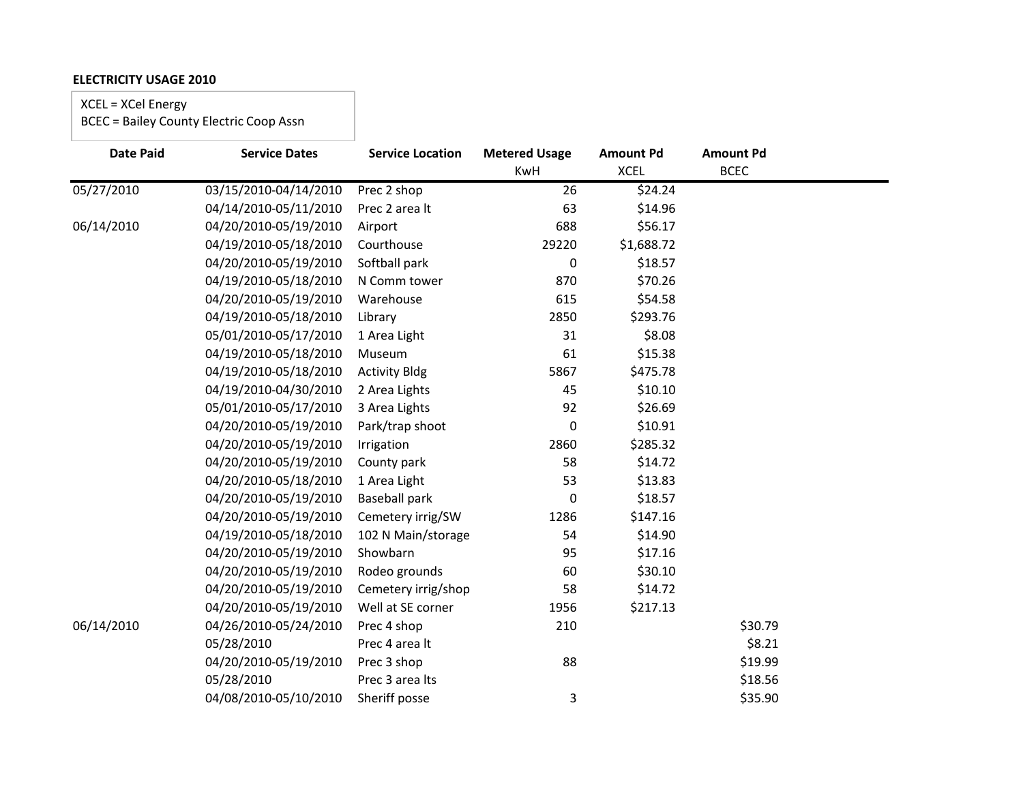#### XCEL = XCel Energy

| <b>Date Paid</b> | <b>Service Dates</b>  | <b>Service Location</b> | <b>Metered Usage</b> | <b>Amount Pd</b> | <b>Amount Pd</b> |  |
|------------------|-----------------------|-------------------------|----------------------|------------------|------------------|--|
|                  |                       |                         | KwH                  | <b>XCEL</b>      | <b>BCEC</b>      |  |
| 05/27/2010       | 03/15/2010-04/14/2010 | Prec 2 shop             | 26                   | \$24.24          |                  |  |
|                  | 04/14/2010-05/11/2010 | Prec 2 area lt          | 63                   | \$14.96          |                  |  |
| 06/14/2010       | 04/20/2010-05/19/2010 | Airport                 | 688                  | \$56.17          |                  |  |
|                  | 04/19/2010-05/18/2010 | Courthouse              | 29220                | \$1,688.72       |                  |  |
|                  | 04/20/2010-05/19/2010 | Softball park           | $\boldsymbol{0}$     | \$18.57          |                  |  |
|                  | 04/19/2010-05/18/2010 | N Comm tower            | 870                  | \$70.26          |                  |  |
|                  | 04/20/2010-05/19/2010 | Warehouse               | 615                  | \$54.58          |                  |  |
|                  | 04/19/2010-05/18/2010 | Library                 | 2850                 | \$293.76         |                  |  |
|                  | 05/01/2010-05/17/2010 | 1 Area Light            | 31                   | \$8.08           |                  |  |
|                  | 04/19/2010-05/18/2010 | Museum                  | 61                   | \$15.38          |                  |  |
|                  | 04/19/2010-05/18/2010 | <b>Activity Bldg</b>    | 5867                 | \$475.78         |                  |  |
|                  | 04/19/2010-04/30/2010 | 2 Area Lights           | 45                   | \$10.10          |                  |  |
|                  | 05/01/2010-05/17/2010 | 3 Area Lights           | 92                   | \$26.69          |                  |  |
|                  | 04/20/2010-05/19/2010 | Park/trap shoot         | 0                    | \$10.91          |                  |  |
|                  | 04/20/2010-05/19/2010 | Irrigation              | 2860                 | \$285.32         |                  |  |
|                  | 04/20/2010-05/19/2010 | County park             | 58                   | \$14.72          |                  |  |
|                  | 04/20/2010-05/18/2010 | 1 Area Light            | 53                   | \$13.83          |                  |  |
|                  | 04/20/2010-05/19/2010 | Baseball park           | 0                    | \$18.57          |                  |  |
|                  | 04/20/2010-05/19/2010 | Cemetery irrig/SW       | 1286                 | \$147.16         |                  |  |
|                  | 04/19/2010-05/18/2010 | 102 N Main/storage      | 54                   | \$14.90          |                  |  |
|                  | 04/20/2010-05/19/2010 | Showbarn                | 95                   | \$17.16          |                  |  |
|                  | 04/20/2010-05/19/2010 | Rodeo grounds           | 60                   | \$30.10          |                  |  |
|                  | 04/20/2010-05/19/2010 | Cemetery irrig/shop     | 58                   | \$14.72          |                  |  |
|                  | 04/20/2010-05/19/2010 | Well at SE corner       | 1956                 | \$217.13         |                  |  |
| 06/14/2010       | 04/26/2010-05/24/2010 | Prec 4 shop             | 210                  |                  | \$30.79          |  |
|                  | 05/28/2010            | Prec 4 area lt          |                      |                  | \$8.21           |  |
|                  | 04/20/2010-05/19/2010 | Prec 3 shop             | 88                   |                  | \$19.99          |  |
|                  | 05/28/2010            | Prec 3 area lts         |                      |                  | \$18.56          |  |
|                  | 04/08/2010-05/10/2010 | Sheriff posse           | 3                    |                  | \$35.90          |  |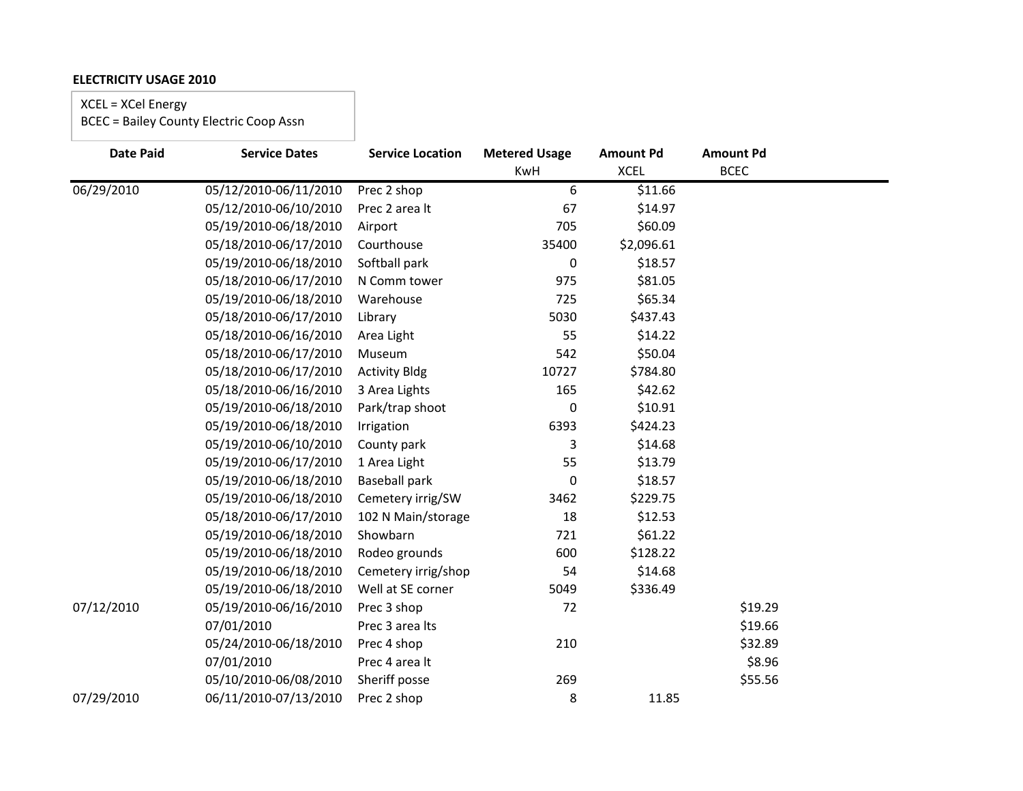#### XCEL = XCel Energy

| <b>Date Paid</b> | <b>Service Dates</b>  | <b>Service Location</b> | <b>Metered Usage</b> | <b>Amount Pd</b> | <b>Amount Pd</b> |  |
|------------------|-----------------------|-------------------------|----------------------|------------------|------------------|--|
|                  |                       |                         | KwH                  | <b>XCEL</b>      | <b>BCEC</b>      |  |
| 06/29/2010       | 05/12/2010-06/11/2010 | Prec 2 shop             | 6                    | \$11.66          |                  |  |
|                  | 05/12/2010-06/10/2010 | Prec 2 area It          | 67                   | \$14.97          |                  |  |
|                  | 05/19/2010-06/18/2010 | Airport                 | 705                  | \$60.09          |                  |  |
|                  | 05/18/2010-06/17/2010 | Courthouse              | 35400                | \$2,096.61       |                  |  |
|                  | 05/19/2010-06/18/2010 | Softball park           | 0                    | \$18.57          |                  |  |
|                  | 05/18/2010-06/17/2010 | N Comm tower            | 975                  | \$81.05          |                  |  |
|                  | 05/19/2010-06/18/2010 | Warehouse               | 725                  | \$65.34          |                  |  |
|                  | 05/18/2010-06/17/2010 | Library                 | 5030                 | \$437.43         |                  |  |
|                  | 05/18/2010-06/16/2010 | Area Light              | 55                   | \$14.22          |                  |  |
|                  | 05/18/2010-06/17/2010 | Museum                  | 542                  | \$50.04          |                  |  |
|                  | 05/18/2010-06/17/2010 | <b>Activity Bldg</b>    | 10727                | \$784.80         |                  |  |
|                  | 05/18/2010-06/16/2010 | 3 Area Lights           | 165                  | \$42.62          |                  |  |
|                  | 05/19/2010-06/18/2010 | Park/trap shoot         | 0                    | \$10.91          |                  |  |
|                  | 05/19/2010-06/18/2010 | Irrigation              | 6393                 | \$424.23         |                  |  |
|                  | 05/19/2010-06/10/2010 | County park             | 3                    | \$14.68          |                  |  |
|                  | 05/19/2010-06/17/2010 | 1 Area Light            | 55                   | \$13.79          |                  |  |
|                  | 05/19/2010-06/18/2010 | Baseball park           | 0                    | \$18.57          |                  |  |
|                  | 05/19/2010-06/18/2010 | Cemetery irrig/SW       | 3462                 | \$229.75         |                  |  |
|                  | 05/18/2010-06/17/2010 | 102 N Main/storage      | 18                   | \$12.53          |                  |  |
|                  | 05/19/2010-06/18/2010 | Showbarn                | 721                  | \$61.22          |                  |  |
|                  | 05/19/2010-06/18/2010 | Rodeo grounds           | 600                  | \$128.22         |                  |  |
|                  | 05/19/2010-06/18/2010 | Cemetery irrig/shop     | 54                   | \$14.68          |                  |  |
|                  | 05/19/2010-06/18/2010 | Well at SE corner       | 5049                 | \$336.49         |                  |  |
| 07/12/2010       | 05/19/2010-06/16/2010 | Prec 3 shop             | 72                   |                  | \$19.29          |  |
|                  | 07/01/2010            | Prec 3 area Its         |                      |                  | \$19.66          |  |
|                  | 05/24/2010-06/18/2010 | Prec 4 shop             | 210                  |                  | \$32.89          |  |
|                  | 07/01/2010            | Prec 4 area lt          |                      |                  | \$8.96           |  |
|                  | 05/10/2010-06/08/2010 | Sheriff posse           | 269                  |                  | \$55.56          |  |
| 07/29/2010       | 06/11/2010-07/13/2010 | Prec 2 shop             | 8                    | 11.85            |                  |  |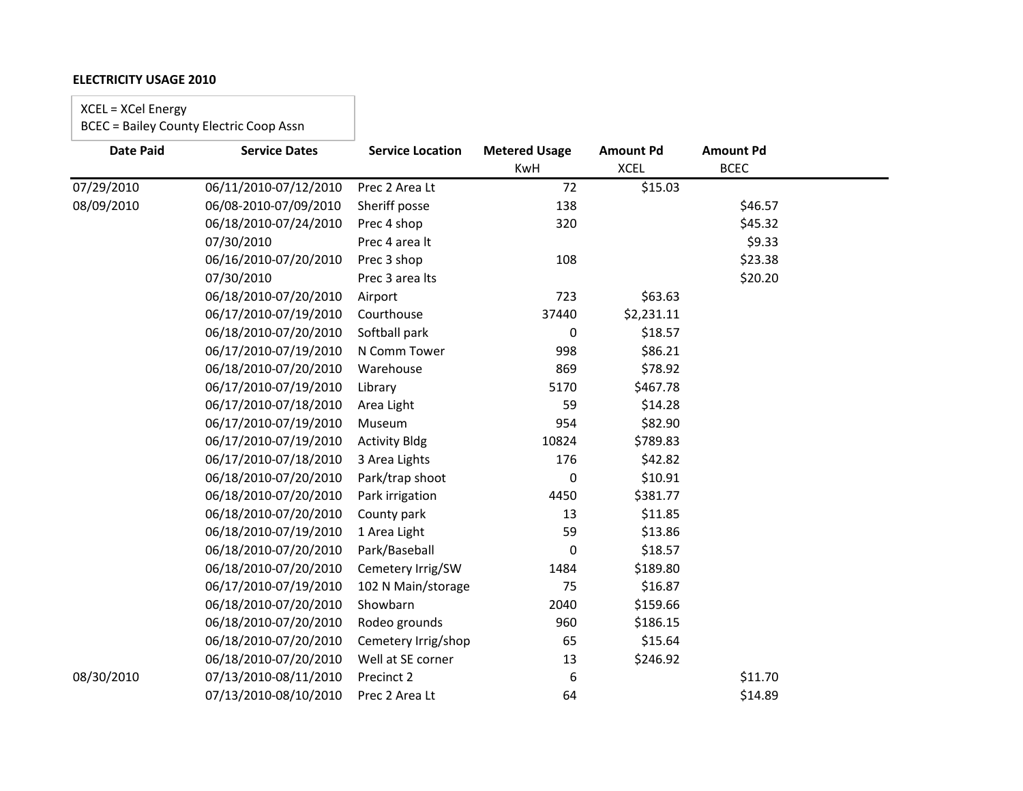## XCEL = XCel Energy

| <b>Date Paid</b> | <b>Service Dates</b>  | <b>Service Location</b> | <b>Metered Usage</b> | <b>Amount Pd</b> | <b>Amount Pd</b> |  |
|------------------|-----------------------|-------------------------|----------------------|------------------|------------------|--|
|                  |                       |                         | <b>KwH</b>           | <b>XCEL</b>      | <b>BCEC</b>      |  |
| 07/29/2010       | 06/11/2010-07/12/2010 | Prec 2 Area Lt          | 72                   | \$15.03          |                  |  |
| 08/09/2010       | 06/08-2010-07/09/2010 | Sheriff posse           | 138                  |                  | \$46.57          |  |
|                  | 06/18/2010-07/24/2010 | Prec 4 shop             | 320                  |                  | \$45.32          |  |
|                  | 07/30/2010            | Prec 4 area It          |                      |                  | \$9.33           |  |
|                  | 06/16/2010-07/20/2010 | Prec 3 shop             | 108                  |                  | \$23.38          |  |
|                  | 07/30/2010            | Prec 3 area lts         |                      |                  | \$20.20          |  |
|                  | 06/18/2010-07/20/2010 | Airport                 | 723                  | \$63.63          |                  |  |
|                  | 06/17/2010-07/19/2010 | Courthouse              | 37440                | \$2,231.11       |                  |  |
|                  | 06/18/2010-07/20/2010 | Softball park           | 0                    | \$18.57          |                  |  |
|                  | 06/17/2010-07/19/2010 | N Comm Tower            | 998                  | \$86.21          |                  |  |
|                  | 06/18/2010-07/20/2010 | Warehouse               | 869                  | \$78.92          |                  |  |
|                  | 06/17/2010-07/19/2010 | Library                 | 5170                 | \$467.78         |                  |  |
|                  | 06/17/2010-07/18/2010 | Area Light              | 59                   | \$14.28          |                  |  |
|                  | 06/17/2010-07/19/2010 | Museum                  | 954                  | \$82.90          |                  |  |
|                  | 06/17/2010-07/19/2010 | <b>Activity Bldg</b>    | 10824                | \$789.83         |                  |  |
|                  | 06/17/2010-07/18/2010 | 3 Area Lights           | 176                  | \$42.82          |                  |  |
|                  | 06/18/2010-07/20/2010 | Park/trap shoot         | 0                    | \$10.91          |                  |  |
|                  | 06/18/2010-07/20/2010 | Park irrigation         | 4450                 | \$381.77         |                  |  |
|                  | 06/18/2010-07/20/2010 | County park             | 13                   | \$11.85          |                  |  |
|                  | 06/18/2010-07/19/2010 | 1 Area Light            | 59                   | \$13.86          |                  |  |
|                  | 06/18/2010-07/20/2010 | Park/Baseball           | 0                    | \$18.57          |                  |  |
|                  | 06/18/2010-07/20/2010 | Cemetery Irrig/SW       | 1484                 | \$189.80         |                  |  |
|                  | 06/17/2010-07/19/2010 | 102 N Main/storage      | 75                   | \$16.87          |                  |  |
|                  | 06/18/2010-07/20/2010 | Showbarn                | 2040                 | \$159.66         |                  |  |
|                  | 06/18/2010-07/20/2010 | Rodeo grounds           | 960                  | \$186.15         |                  |  |
|                  | 06/18/2010-07/20/2010 | Cemetery Irrig/shop     | 65                   | \$15.64          |                  |  |
|                  | 06/18/2010-07/20/2010 | Well at SE corner       | 13                   | \$246.92         |                  |  |
| 08/30/2010       | 07/13/2010-08/11/2010 | Precinct 2              | 6                    |                  | \$11.70          |  |
|                  | 07/13/2010-08/10/2010 | Prec 2 Area Lt          | 64                   |                  | \$14.89          |  |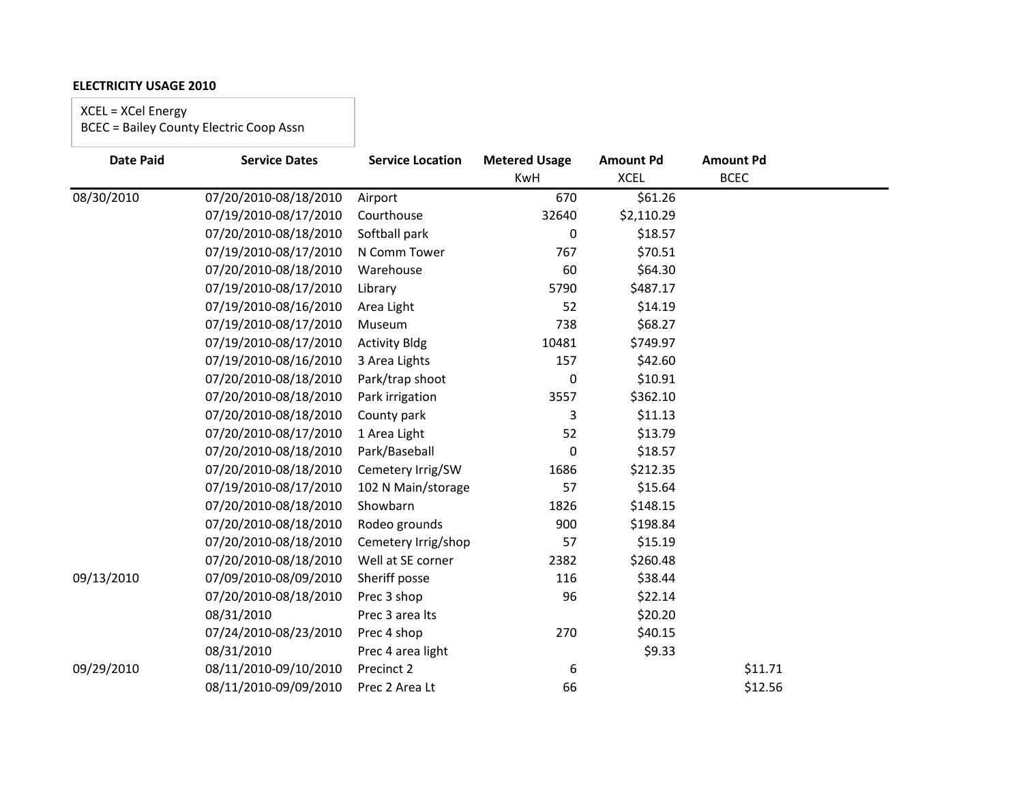# XCEL = XCel Energy

| <b>Date Paid</b> | <b>Service Dates</b>  | <b>Service Location</b> | <b>Metered Usage</b> | <b>Amount Pd</b> | <b>Amount Pd</b> |  |
|------------------|-----------------------|-------------------------|----------------------|------------------|------------------|--|
|                  |                       |                         | <b>KwH</b>           | <b>XCEL</b>      | <b>BCEC</b>      |  |
| 08/30/2010       | 07/20/2010-08/18/2010 | Airport                 | 670                  | \$61.26          |                  |  |
|                  | 07/19/2010-08/17/2010 | Courthouse              | 32640                | \$2,110.29       |                  |  |
|                  | 07/20/2010-08/18/2010 | Softball park           | $\mathbf{0}$         | \$18.57          |                  |  |
|                  | 07/19/2010-08/17/2010 | N Comm Tower            | 767                  | \$70.51          |                  |  |
|                  | 07/20/2010-08/18/2010 | Warehouse               | 60                   | \$64.30          |                  |  |
|                  | 07/19/2010-08/17/2010 | Library                 | 5790                 | \$487.17         |                  |  |
|                  | 07/19/2010-08/16/2010 | Area Light              | 52                   | \$14.19          |                  |  |
|                  | 07/19/2010-08/17/2010 | Museum                  | 738                  | \$68.27          |                  |  |
|                  | 07/19/2010-08/17/2010 | <b>Activity Bldg</b>    | 10481                | \$749.97         |                  |  |
|                  | 07/19/2010-08/16/2010 | 3 Area Lights           | 157                  | \$42.60          |                  |  |
|                  | 07/20/2010-08/18/2010 | Park/trap shoot         | $\Omega$             | \$10.91          |                  |  |
|                  | 07/20/2010-08/18/2010 | Park irrigation         | 3557                 | \$362.10         |                  |  |
|                  | 07/20/2010-08/18/2010 | County park             | 3                    | \$11.13          |                  |  |
|                  | 07/20/2010-08/17/2010 | 1 Area Light            | 52                   | \$13.79          |                  |  |
|                  | 07/20/2010-08/18/2010 | Park/Baseball           | $\Omega$             | \$18.57          |                  |  |
|                  | 07/20/2010-08/18/2010 | Cemetery Irrig/SW       | 1686                 | \$212.35         |                  |  |
|                  | 07/19/2010-08/17/2010 | 102 N Main/storage      | 57                   | \$15.64          |                  |  |
|                  | 07/20/2010-08/18/2010 | Showbarn                | 1826                 | \$148.15         |                  |  |
|                  | 07/20/2010-08/18/2010 | Rodeo grounds           | 900                  | \$198.84         |                  |  |
|                  | 07/20/2010-08/18/2010 | Cemetery Irrig/shop     | 57                   | \$15.19          |                  |  |
|                  | 07/20/2010-08/18/2010 | Well at SE corner       | 2382                 | \$260.48         |                  |  |
| 09/13/2010       | 07/09/2010-08/09/2010 | Sheriff posse           | 116                  | \$38.44          |                  |  |
|                  | 07/20/2010-08/18/2010 | Prec 3 shop             | 96                   | \$22.14          |                  |  |
|                  | 08/31/2010            | Prec 3 area lts         |                      | \$20.20          |                  |  |
|                  | 07/24/2010-08/23/2010 | Prec 4 shop             | 270                  | \$40.15          |                  |  |
|                  | 08/31/2010            | Prec 4 area light       |                      | \$9.33           |                  |  |
| 09/29/2010       | 08/11/2010-09/10/2010 | Precinct 2              | 6                    |                  | \$11.71          |  |
|                  | 08/11/2010-09/09/2010 | Prec 2 Area Lt          | 66                   |                  | \$12.56          |  |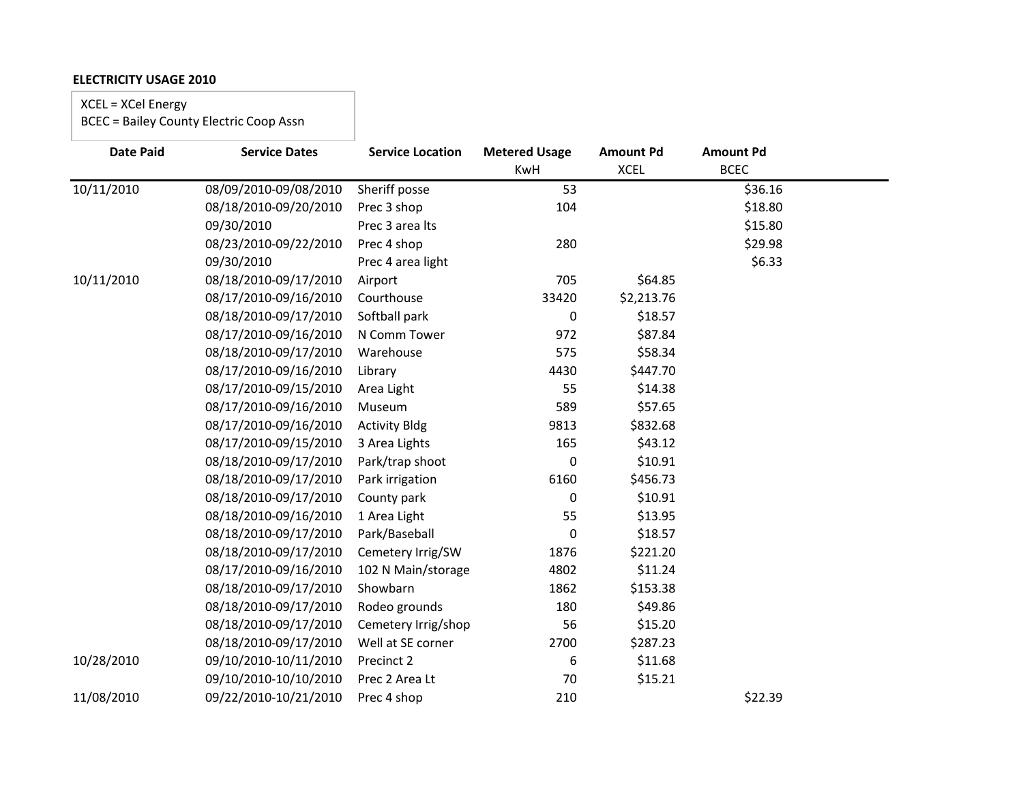#### XCEL = XCel Energy

| <b>Date Paid</b> | <b>Service Dates</b>  | <b>Service Location</b> | <b>Metered Usage</b> | <b>Amount Pd</b> | <b>Amount Pd</b> |  |
|------------------|-----------------------|-------------------------|----------------------|------------------|------------------|--|
|                  |                       |                         | <b>KwH</b>           | <b>XCEL</b>      | <b>BCEC</b>      |  |
| 10/11/2010       | 08/09/2010-09/08/2010 | Sheriff posse           | 53                   |                  | \$36.16          |  |
|                  | 08/18/2010-09/20/2010 | Prec 3 shop             | 104                  |                  | \$18.80          |  |
|                  | 09/30/2010            | Prec 3 area lts         |                      |                  | \$15.80          |  |
|                  | 08/23/2010-09/22/2010 | Prec 4 shop             | 280                  |                  | \$29.98          |  |
|                  | 09/30/2010            | Prec 4 area light       |                      |                  | \$6.33           |  |
| 10/11/2010       | 08/18/2010-09/17/2010 | Airport                 | 705                  | \$64.85          |                  |  |
|                  | 08/17/2010-09/16/2010 | Courthouse              | 33420                | \$2,213.76       |                  |  |
|                  | 08/18/2010-09/17/2010 | Softball park           | 0                    | \$18.57          |                  |  |
|                  | 08/17/2010-09/16/2010 | N Comm Tower            | 972                  | \$87.84          |                  |  |
|                  | 08/18/2010-09/17/2010 | Warehouse               | 575                  | \$58.34          |                  |  |
|                  | 08/17/2010-09/16/2010 | Library                 | 4430                 | \$447.70         |                  |  |
|                  | 08/17/2010-09/15/2010 | Area Light              | 55                   | \$14.38          |                  |  |
|                  | 08/17/2010-09/16/2010 | Museum                  | 589                  | \$57.65          |                  |  |
|                  | 08/17/2010-09/16/2010 | <b>Activity Bldg</b>    | 9813                 | \$832.68         |                  |  |
|                  | 08/17/2010-09/15/2010 | 3 Area Lights           | 165                  | \$43.12          |                  |  |
|                  | 08/18/2010-09/17/2010 | Park/trap shoot         | 0                    | \$10.91          |                  |  |
|                  | 08/18/2010-09/17/2010 | Park irrigation         | 6160                 | \$456.73         |                  |  |
|                  | 08/18/2010-09/17/2010 | County park             | 0                    | \$10.91          |                  |  |
|                  | 08/18/2010-09/16/2010 | 1 Area Light            | 55                   | \$13.95          |                  |  |
|                  | 08/18/2010-09/17/2010 | Park/Baseball           | 0                    | \$18.57          |                  |  |
|                  | 08/18/2010-09/17/2010 | Cemetery Irrig/SW       | 1876                 | \$221.20         |                  |  |
|                  | 08/17/2010-09/16/2010 | 102 N Main/storage      | 4802                 | \$11.24          |                  |  |
|                  | 08/18/2010-09/17/2010 | Showbarn                | 1862                 | \$153.38         |                  |  |
|                  | 08/18/2010-09/17/2010 | Rodeo grounds           | 180                  | \$49.86          |                  |  |
|                  | 08/18/2010-09/17/2010 | Cemetery Irrig/shop     | 56                   | \$15.20          |                  |  |
|                  | 08/18/2010-09/17/2010 | Well at SE corner       | 2700                 | \$287.23         |                  |  |
| 10/28/2010       | 09/10/2010-10/11/2010 | Precinct 2              | 6                    | \$11.68          |                  |  |
|                  | 09/10/2010-10/10/2010 | Prec 2 Area Lt          | 70                   | \$15.21          |                  |  |
| 11/08/2010       | 09/22/2010-10/21/2010 | Prec 4 shop             | 210                  |                  | \$22.39          |  |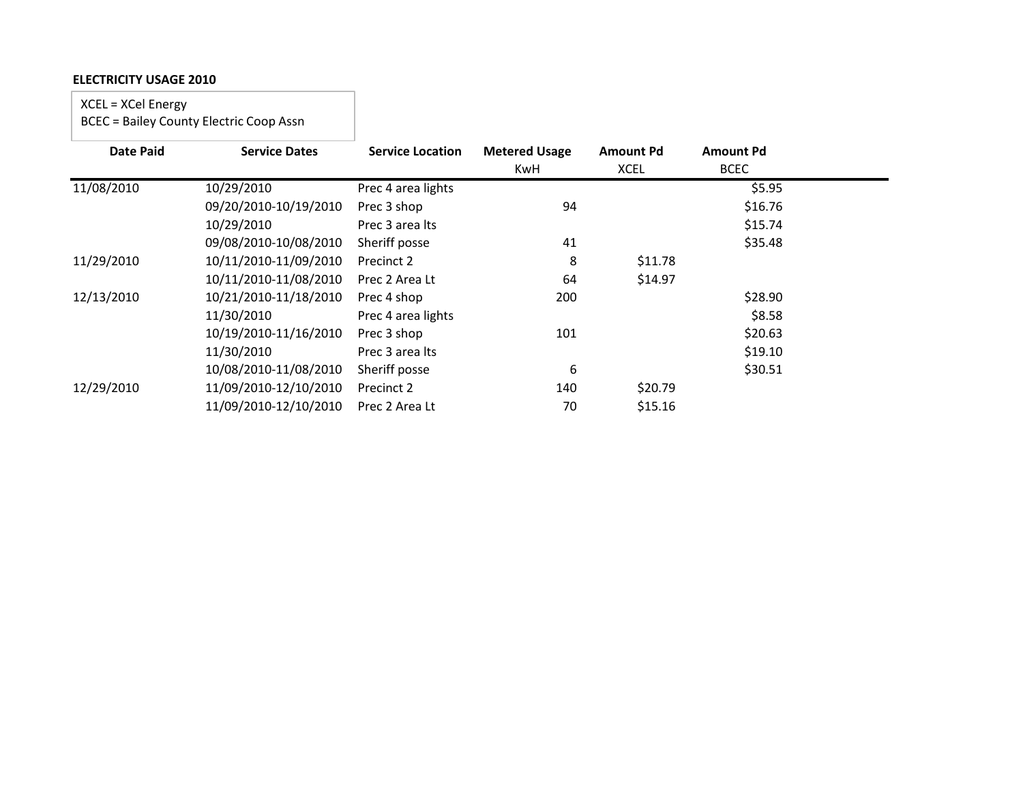#### XCEL = XCel Energy

| <b>Date Paid</b> | <b>Service Dates</b>  | <b>Service Location</b> | <b>Metered Usage</b><br><b>KwH</b> | <b>Amount Pd</b><br><b>XCEL</b> | <b>Amount Pd</b><br><b>BCEC</b> |  |
|------------------|-----------------------|-------------------------|------------------------------------|---------------------------------|---------------------------------|--|
| 11/08/2010       | 10/29/2010            | Prec 4 area lights      |                                    |                                 | \$5.95                          |  |
|                  | 09/20/2010-10/19/2010 | Prec 3 shop             | 94                                 |                                 | \$16.76                         |  |
|                  | 10/29/2010            | Prec 3 area Its         |                                    |                                 | \$15.74                         |  |
|                  | 09/08/2010-10/08/2010 | Sheriff posse           | 41                                 |                                 | \$35.48                         |  |
| 11/29/2010       | 10/11/2010-11/09/2010 | Precinct 2              | 8                                  | \$11.78                         |                                 |  |
|                  | 10/11/2010-11/08/2010 | Prec 2 Area Lt          | 64                                 | \$14.97                         |                                 |  |
| 12/13/2010       | 10/21/2010-11/18/2010 | Prec 4 shop             | 200                                |                                 | \$28.90                         |  |
|                  | 11/30/2010            | Prec 4 area lights      |                                    |                                 | \$8.58                          |  |
|                  | 10/19/2010-11/16/2010 | Prec 3 shop             | 101                                |                                 | \$20.63                         |  |
|                  | 11/30/2010            | Prec 3 area Its         |                                    |                                 | \$19.10                         |  |
|                  | 10/08/2010-11/08/2010 | Sheriff posse           | 6                                  |                                 | \$30.51                         |  |
| 12/29/2010       | 11/09/2010-12/10/2010 | Precinct 2              | 140                                | \$20.79                         |                                 |  |
|                  | 11/09/2010-12/10/2010 | Prec 2 Area Lt          | 70                                 | \$15.16                         |                                 |  |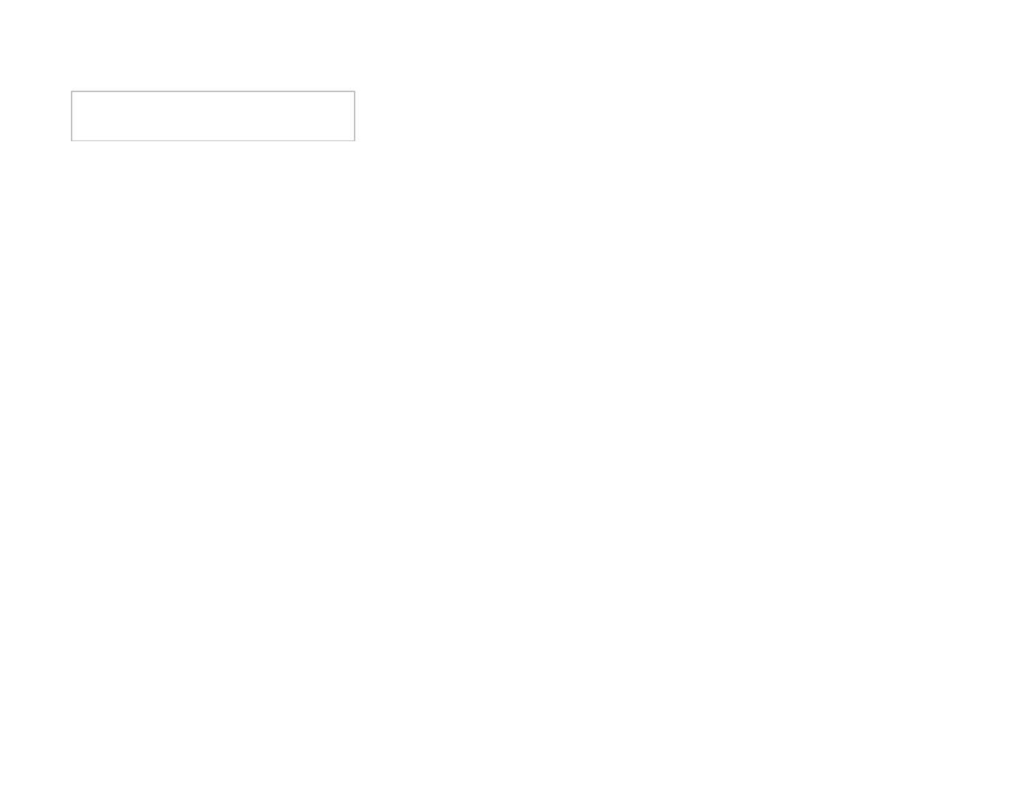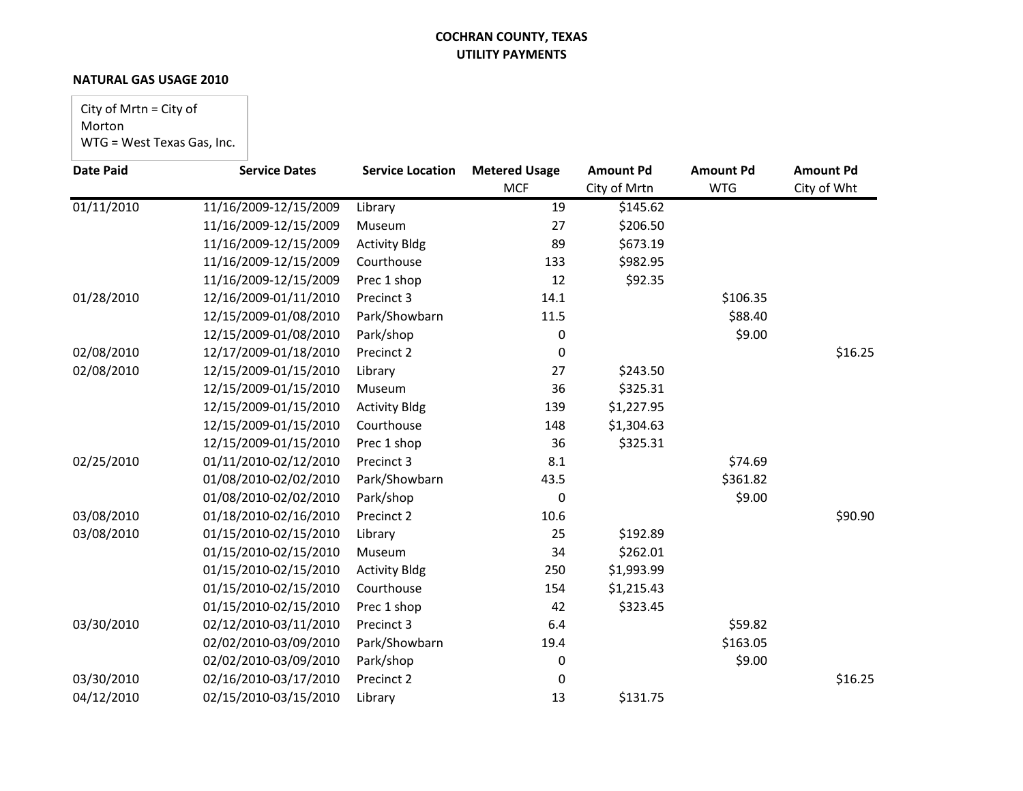## **NATURAL GAS USAGE 2010**

| City of Mrtn = City of     |
|----------------------------|
| Morton                     |
| WTG = West Texas Gas, Inc. |

| <b>Date Paid</b> | <b>Service Dates</b>  | <b>Service Location</b> | <b>Metered Usage</b> | <b>Amount Pd</b> | <b>Amount Pd</b> | <b>Amount Pd</b> |
|------------------|-----------------------|-------------------------|----------------------|------------------|------------------|------------------|
|                  |                       |                         | <b>MCF</b>           | City of Mrtn     | <b>WTG</b>       | City of Wht      |
| 01/11/2010       | 11/16/2009-12/15/2009 | Library                 | 19                   | \$145.62         |                  |                  |
|                  | 11/16/2009-12/15/2009 | Museum                  | 27                   | \$206.50         |                  |                  |
|                  | 11/16/2009-12/15/2009 | <b>Activity Bldg</b>    | 89                   | \$673.19         |                  |                  |
|                  | 11/16/2009-12/15/2009 | Courthouse              | 133                  | \$982.95         |                  |                  |
|                  | 11/16/2009-12/15/2009 | Prec 1 shop             | 12                   | \$92.35          |                  |                  |
| 01/28/2010       | 12/16/2009-01/11/2010 | Precinct 3              | 14.1                 |                  | \$106.35         |                  |
|                  | 12/15/2009-01/08/2010 | Park/Showbarn           | 11.5                 |                  | \$88.40          |                  |
|                  | 12/15/2009-01/08/2010 | Park/shop               | $\boldsymbol{0}$     |                  | \$9.00           |                  |
| 02/08/2010       | 12/17/2009-01/18/2010 | Precinct 2              | 0                    |                  |                  | \$16.25          |
| 02/08/2010       | 12/15/2009-01/15/2010 | Library                 | 27                   | \$243.50         |                  |                  |
|                  | 12/15/2009-01/15/2010 | Museum                  | 36                   | \$325.31         |                  |                  |
|                  | 12/15/2009-01/15/2010 | <b>Activity Bldg</b>    | 139                  | \$1,227.95       |                  |                  |
|                  | 12/15/2009-01/15/2010 | Courthouse              | 148                  | \$1,304.63       |                  |                  |
|                  | 12/15/2009-01/15/2010 | Prec 1 shop             | 36                   | \$325.31         |                  |                  |
| 02/25/2010       | 01/11/2010-02/12/2010 | Precinct 3              | 8.1                  |                  | \$74.69          |                  |
|                  | 01/08/2010-02/02/2010 | Park/Showbarn           | 43.5                 |                  | \$361.82         |                  |
|                  | 01/08/2010-02/02/2010 | Park/shop               | $\mathbf 0$          |                  | \$9.00           |                  |
| 03/08/2010       | 01/18/2010-02/16/2010 | Precinct 2              | 10.6                 |                  |                  | \$90.90          |
| 03/08/2010       | 01/15/2010-02/15/2010 | Library                 | 25                   | \$192.89         |                  |                  |
|                  | 01/15/2010-02/15/2010 | Museum                  | 34                   | \$262.01         |                  |                  |
|                  | 01/15/2010-02/15/2010 | <b>Activity Bldg</b>    | 250                  | \$1,993.99       |                  |                  |
|                  | 01/15/2010-02/15/2010 | Courthouse              | 154                  | \$1,215.43       |                  |                  |
|                  | 01/15/2010-02/15/2010 | Prec 1 shop             | 42                   | \$323.45         |                  |                  |
| 03/30/2010       | 02/12/2010-03/11/2010 | Precinct 3              | 6.4                  |                  | \$59.82          |                  |
|                  | 02/02/2010-03/09/2010 | Park/Showbarn           | 19.4                 |                  | \$163.05         |                  |
|                  | 02/02/2010-03/09/2010 | Park/shop               | 0                    |                  | \$9.00           |                  |
| 03/30/2010       | 02/16/2010-03/17/2010 | Precinct 2              | 0                    |                  |                  | \$16.25          |
| 04/12/2010       | 02/15/2010-03/15/2010 | Library                 | 13                   | \$131.75         |                  |                  |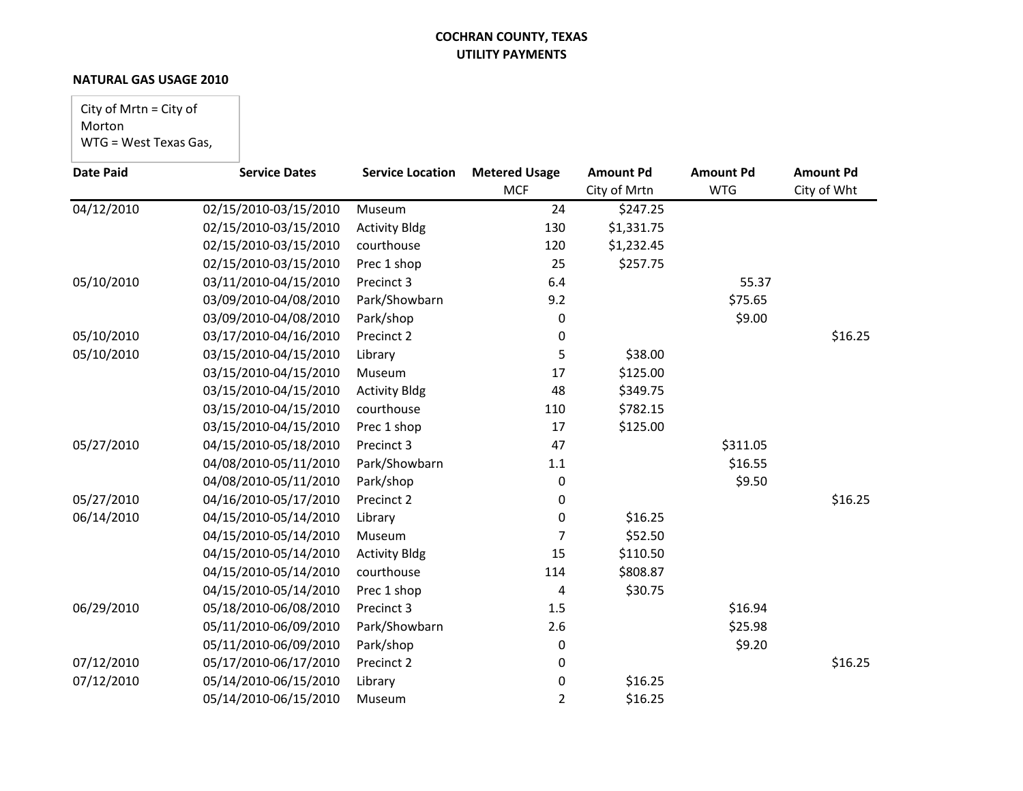## **NATURAL GAS USAGE 2010**

City of Mrtn = City of Morton WTG = West Texas Gas,

| <b>Date Paid</b> | <b>Service Dates</b>  | <b>Service Location</b> | <b>Metered Usage</b> | <b>Amount Pd</b> | <b>Amount Pd</b> | <b>Amount Pd</b> |
|------------------|-----------------------|-------------------------|----------------------|------------------|------------------|------------------|
|                  |                       |                         | <b>MCF</b>           | City of Mrtn     | <b>WTG</b>       | City of Wht      |
| 04/12/2010       | 02/15/2010-03/15/2010 | Museum                  | 24                   | \$247.25         |                  |                  |
|                  | 02/15/2010-03/15/2010 | <b>Activity Bldg</b>    | 130                  | \$1,331.75       |                  |                  |
|                  | 02/15/2010-03/15/2010 | courthouse              | 120                  | \$1,232.45       |                  |                  |
|                  | 02/15/2010-03/15/2010 | Prec 1 shop             | 25                   | \$257.75         |                  |                  |
| 05/10/2010       | 03/11/2010-04/15/2010 | Precinct 3              | 6.4                  |                  | 55.37            |                  |
|                  | 03/09/2010-04/08/2010 | Park/Showbarn           | 9.2                  |                  | \$75.65          |                  |
|                  | 03/09/2010-04/08/2010 | Park/shop               | 0                    |                  | \$9.00           |                  |
| 05/10/2010       | 03/17/2010-04/16/2010 | Precinct 2              | 0                    |                  |                  | \$16.25          |
| 05/10/2010       | 03/15/2010-04/15/2010 | Library                 | 5                    | \$38.00          |                  |                  |
|                  | 03/15/2010-04/15/2010 | Museum                  | 17                   | \$125.00         |                  |                  |
|                  | 03/15/2010-04/15/2010 | <b>Activity Bldg</b>    | 48                   | \$349.75         |                  |                  |
|                  | 03/15/2010-04/15/2010 | courthouse              | 110                  | \$782.15         |                  |                  |
|                  | 03/15/2010-04/15/2010 | Prec 1 shop             | 17                   | \$125.00         |                  |                  |
| 05/27/2010       | 04/15/2010-05/18/2010 | Precinct 3              | 47                   |                  | \$311.05         |                  |
|                  | 04/08/2010-05/11/2010 | Park/Showbarn           | 1.1                  |                  | \$16.55          |                  |
|                  | 04/08/2010-05/11/2010 | Park/shop               | 0                    |                  | \$9.50           |                  |
| 05/27/2010       | 04/16/2010-05/17/2010 | Precinct 2              | 0                    |                  |                  | \$16.25          |
| 06/14/2010       | 04/15/2010-05/14/2010 | Library                 | 0                    | \$16.25          |                  |                  |
|                  | 04/15/2010-05/14/2010 | Museum                  | 7                    | \$52.50          |                  |                  |
|                  | 04/15/2010-05/14/2010 | <b>Activity Bldg</b>    | 15                   | \$110.50         |                  |                  |
|                  | 04/15/2010-05/14/2010 | courthouse              | 114                  | \$808.87         |                  |                  |
|                  | 04/15/2010-05/14/2010 | Prec 1 shop             | 4                    | \$30.75          |                  |                  |
| 06/29/2010       | 05/18/2010-06/08/2010 | Precinct 3              | 1.5                  |                  | \$16.94          |                  |
|                  | 05/11/2010-06/09/2010 | Park/Showbarn           | 2.6                  |                  | \$25.98          |                  |
|                  | 05/11/2010-06/09/2010 | Park/shop               | 0                    |                  | \$9.20           |                  |
| 07/12/2010       | 05/17/2010-06/17/2010 | Precinct 2              | 0                    |                  |                  | \$16.25          |
| 07/12/2010       | 05/14/2010-06/15/2010 | Library                 | 0                    | \$16.25          |                  |                  |
|                  | 05/14/2010-06/15/2010 | Museum                  | $\overline{2}$       | \$16.25          |                  |                  |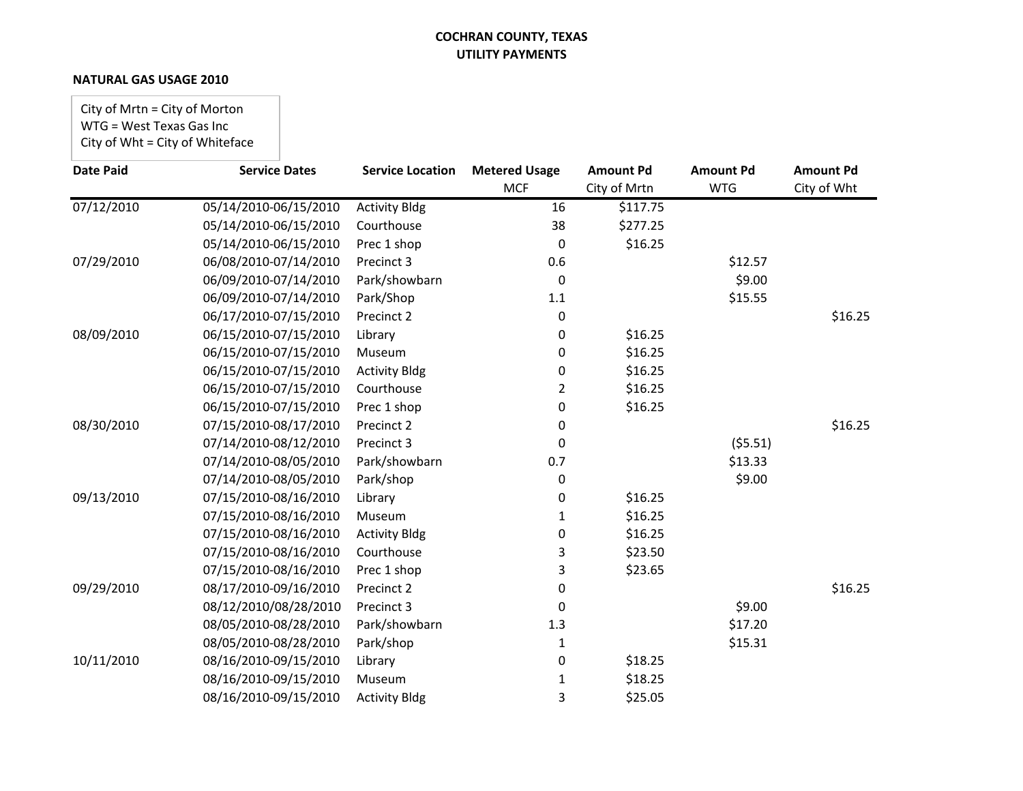## **NATURAL GAS USAGE 2010**

City of Mrtn = City of Morton WTG = West Texas Gas Inc City of Wht = City of Whiteface

| <b>Date Paid</b> | <b>Service Dates</b>  | <b>Service Location</b> | <b>Metered Usage</b> | <b>Amount Pd</b> | <b>Amount Pd</b> | <b>Amount Pd</b> |
|------------------|-----------------------|-------------------------|----------------------|------------------|------------------|------------------|
|                  |                       |                         | <b>MCF</b>           | City of Mrtn     | <b>WTG</b>       | City of Wht      |
| 07/12/2010       | 05/14/2010-06/15/2010 | <b>Activity Bldg</b>    | 16                   | \$117.75         |                  |                  |
|                  | 05/14/2010-06/15/2010 | Courthouse              | 38                   | \$277.25         |                  |                  |
|                  | 05/14/2010-06/15/2010 | Prec 1 shop             | 0                    | \$16.25          |                  |                  |
| 07/29/2010       | 06/08/2010-07/14/2010 | Precinct 3              | 0.6                  |                  | \$12.57          |                  |
|                  | 06/09/2010-07/14/2010 | Park/showbarn           | 0                    |                  | \$9.00           |                  |
|                  | 06/09/2010-07/14/2010 | Park/Shop               | 1.1                  |                  | \$15.55          |                  |
|                  | 06/17/2010-07/15/2010 | Precinct 2              | 0                    |                  |                  | \$16.25          |
| 08/09/2010       | 06/15/2010-07/15/2010 | Library                 | 0                    | \$16.25          |                  |                  |
|                  | 06/15/2010-07/15/2010 | Museum                  | 0                    | \$16.25          |                  |                  |
|                  | 06/15/2010-07/15/2010 | <b>Activity Bldg</b>    | 0                    | \$16.25          |                  |                  |
|                  | 06/15/2010-07/15/2010 | Courthouse              | 2                    | \$16.25          |                  |                  |
|                  | 06/15/2010-07/15/2010 | Prec 1 shop             | $\boldsymbol{0}$     | \$16.25          |                  |                  |
| 08/30/2010       | 07/15/2010-08/17/2010 | Precinct 2              | 0                    |                  |                  | \$16.25          |
|                  | 07/14/2010-08/12/2010 | Precinct 3              | 0                    |                  | (55.51)          |                  |
|                  | 07/14/2010-08/05/2010 | Park/showbarn           | 0.7                  |                  | \$13.33          |                  |
|                  | 07/14/2010-08/05/2010 | Park/shop               | 0                    |                  | \$9.00           |                  |
| 09/13/2010       | 07/15/2010-08/16/2010 | Library                 | 0                    | \$16.25          |                  |                  |
|                  | 07/15/2010-08/16/2010 | Museum                  | $\mathbf{1}$         | \$16.25          |                  |                  |
|                  | 07/15/2010-08/16/2010 | <b>Activity Bldg</b>    | 0                    | \$16.25          |                  |                  |
|                  | 07/15/2010-08/16/2010 | Courthouse              | 3                    | \$23.50          |                  |                  |
|                  | 07/15/2010-08/16/2010 | Prec 1 shop             | 3                    | \$23.65          |                  |                  |
| 09/29/2010       | 08/17/2010-09/16/2010 | Precinct 2              | 0                    |                  |                  | \$16.25          |
|                  | 08/12/2010/08/28/2010 | Precinct 3              | $\Omega$             |                  | \$9.00           |                  |
|                  | 08/05/2010-08/28/2010 | Park/showbarn           | 1.3                  |                  | \$17.20          |                  |
|                  | 08/05/2010-08/28/2010 | Park/shop               | 1                    |                  | \$15.31          |                  |
| 10/11/2010       | 08/16/2010-09/15/2010 | Library                 | 0                    | \$18.25          |                  |                  |
|                  | 08/16/2010-09/15/2010 | Museum                  | 1                    | \$18.25          |                  |                  |
|                  | 08/16/2010-09/15/2010 | <b>Activity Bldg</b>    | 3                    | \$25.05          |                  |                  |